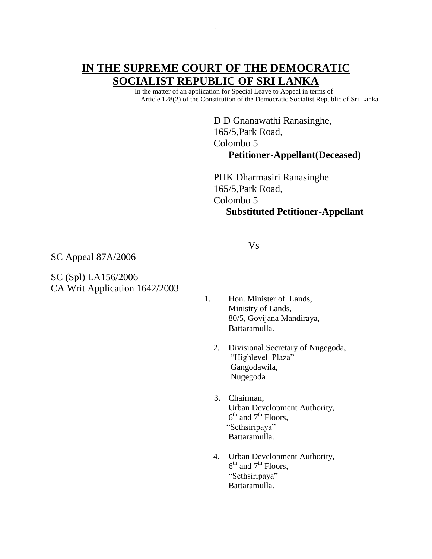# **IN THE SUPREME COURT OF THE DEMOCRATIC SOCIALIST REPUBLIC OF SRI LANKA**

 In the matter of an application for Special Leave to Appeal in terms of Article 128(2) of the Constitution of the Democratic Socialist Republic of Sri Lanka

> D D Gnanawathi Ranasinghe, 165/5,Park Road, Colombo 5 **Petitioner-Appellant(Deceased)**

 PHK Dharmasiri Ranasinghe 165/5,Park Road, Colombo 5 **Substituted Petitioner-Appellant** 

SC Appeal 87A/2006

SC (Spl) LA156/2006 CA Writ Application 1642/2003

Vs

- 1. Hon. Minister of Lands, Ministry of Lands, 80/5, Govijana Mandiraya, Battaramulla.
	- 2. Divisional Secretary of Nugegoda, "Highlevel Plaza" Gangodawila, Nugegoda
- 3. Chairman, Urban Development Authority,  $6<sup>th</sup>$  and  $7<sup>th</sup>$  Floors, "Sethsiripaya" Battaramulla.
- 4. Urban Development Authority,  $6<sup>th</sup>$  and  $7<sup>th</sup>$  Floors, "Sethsiripaya" Battaramulla.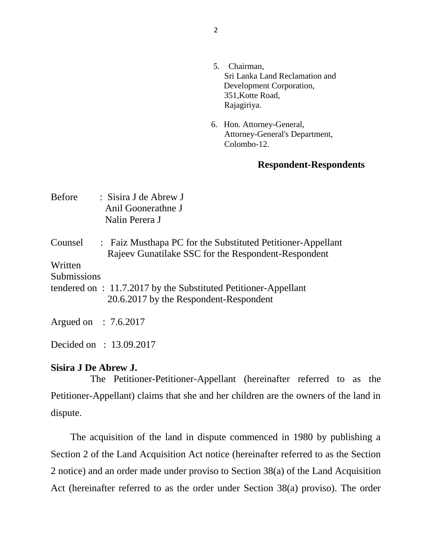- 5. Chairman, Sri Lanka Land Reclamation and Development Corporation, 351,Kotte Road, Rajagiriya.
- 6. Hon. Attorney-General, Attorney-General's Department, Colombo-12.

## **Respondent-Respondents**

| <b>Before</b>                            | : Sisira J de Abrew J<br>Anil Goonerathne J<br>Nalin Perera J                                                      |
|------------------------------------------|--------------------------------------------------------------------------------------------------------------------|
| Counsel<br>Written<br><b>Submissions</b> | : Faiz Musthapa PC for the Substituted Petitioner-Appellant<br>Rajeev Gunatilake SSC for the Respondent-Respondent |
|                                          | tendered on : 11.7.2017 by the Substituted Petitioner-Appellant                                                    |
|                                          | 20.6.2017 by the Respondent-Respondent                                                                             |
| Argued on $\therefore$ 7.6.2017          |                                                                                                                    |

Decided on : 13.09.2017

## **Sisira J De Abrew J.**

 The Petitioner-Petitioner-Appellant (hereinafter referred to as the Petitioner-Appellant) claims that she and her children are the owners of the land in dispute.

 The acquisition of the land in dispute commenced in 1980 by publishing a Section 2 of the Land Acquisition Act notice (hereinafter referred to as the Section 2 notice) and an order made under proviso to Section 38(a) of the Land Acquisition Act (hereinafter referred to as the order under Section 38(a) proviso). The order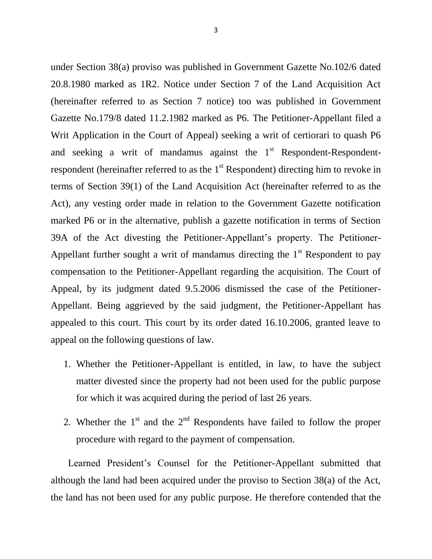under Section 38(a) proviso was published in Government Gazette No.102/6 dated 20.8.1980 marked as 1R2. Notice under Section 7 of the Land Acquisition Act (hereinafter referred to as Section 7 notice) too was published in Government Gazette No.179/8 dated 11.2.1982 marked as P6. The Petitioner-Appellant filed a Writ Application in the Court of Appeal) seeking a writ of certiorari to quash P6 and seeking a writ of mandamus against the  $1<sup>st</sup>$  Respondent-Respondentrespondent (hereinafter referred to as the  $1<sup>st</sup>$  Respondent) directing him to revoke in terms of Section 39(1) of the Land Acquisition Act (hereinafter referred to as the Act), any vesting order made in relation to the Government Gazette notification marked P6 or in the alternative, publish a gazette notification in terms of Section 39A of the Act divesting the Petitioner-Appellant's property. The Petitioner-Appellant further sought a writ of mandamus directing the  $1<sup>st</sup>$  Respondent to pay compensation to the Petitioner-Appellant regarding the acquisition. The Court of Appeal, by its judgment dated 9.5.2006 dismissed the case of the Petitioner-Appellant. Being aggrieved by the said judgment, the Petitioner-Appellant has appealed to this court. This court by its order dated 16.10.2006, granted leave to appeal on the following questions of law.

- 1. Whether the Petitioner-Appellant is entitled, in law, to have the subject matter divested since the property had not been used for the public purpose for which it was acquired during the period of last 26 years.
- 2. Whether the  $1<sup>st</sup>$  and the  $2<sup>nd</sup>$  Respondents have failed to follow the proper procedure with regard to the payment of compensation.

 Learned President's Counsel for the Petitioner-Appellant submitted that although the land had been acquired under the proviso to Section 38(a) of the Act, the land has not been used for any public purpose. He therefore contended that the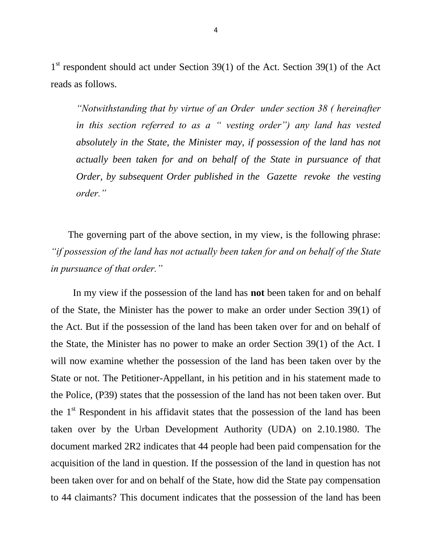1<sup>st</sup> respondent should act under Section 39(1) of the Act. Section 39(1) of the Act reads as follows.

*"Notwithstanding that by virtue of an Order under section 38 ( hereinafter in this section referred to as a " vesting order") any land has vested absolutely in the State, the Minister may, if possession of the land has not actually been taken for and on behalf of the State in pursuance of that Order, by subsequent Order published in the Gazette revoke the vesting order."*

 The governing part of the above section, in my view, is the following phrase: *"if possession of the land has not actually been taken for and on behalf of the State in pursuance of that order."*

 In my view if the possession of the land has **not** been taken for and on behalf of the State, the Minister has the power to make an order under Section 39(1) of the Act. But if the possession of the land has been taken over for and on behalf of the State, the Minister has no power to make an order Section 39(1) of the Act. I will now examine whether the possession of the land has been taken over by the State or not. The Petitioner-Appellant, in his petition and in his statement made to the Police, (P39) states that the possession of the land has not been taken over. But the  $1<sup>st</sup>$  Respondent in his affidavit states that the possession of the land has been taken over by the Urban Development Authority (UDA) on 2.10.1980. The document marked 2R2 indicates that 44 people had been paid compensation for the acquisition of the land in question. If the possession of the land in question has not been taken over for and on behalf of the State, how did the State pay compensation to 44 claimants? This document indicates that the possession of the land has been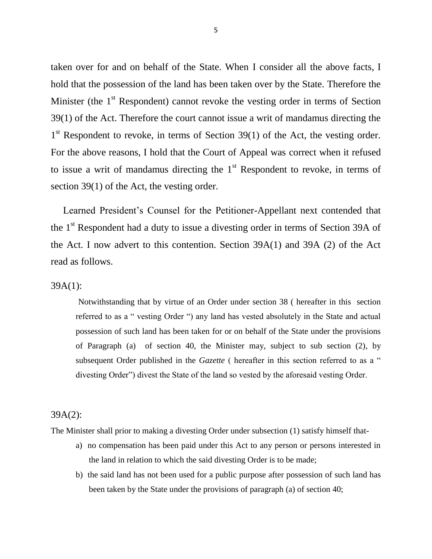taken over for and on behalf of the State. When I consider all the above facts, I hold that the possession of the land has been taken over by the State. Therefore the Minister (the  $1<sup>st</sup>$  Respondent) cannot revoke the vesting order in terms of Section 39(1) of the Act. Therefore the court cannot issue a writ of mandamus directing the 1<sup>st</sup> Respondent to revoke, in terms of Section 39(1) of the Act, the vesting order. For the above reasons, I hold that the Court of Appeal was correct when it refused to issue a writ of mandamus directing the  $1<sup>st</sup>$  Respondent to revoke, in terms of section 39(1) of the Act, the vesting order.

 Learned President's Counsel for the Petitioner-Appellant next contended that the 1<sup>st</sup> Respondent had a duty to issue a divesting order in terms of Section 39A of the Act. I now advert to this contention. Section 39A(1) and 39A (2) of the Act read as follows.

#### 39A(1):

Notwithstanding that by virtue of an Order under section 38 ( hereafter in this section referred to as a " vesting Order ") any land has vested absolutely in the State and actual possession of such land has been taken for or on behalf of the State under the provisions of Paragraph (a) of section 40, the Minister may, subject to sub section (2), by subsequent Order published in the *Gazette* ( hereafter in this section referred to as a " divesting Order") divest the State of the land so vested by the aforesaid vesting Order.

#### 39A(2):

The Minister shall prior to making a divesting Order under subsection (1) satisfy himself that-

- a) no compensation has been paid under this Act to any person or persons interested in the land in relation to which the said divesting Order is to be made;
- b) the said land has not been used for a public purpose after possession of such land has been taken by the State under the provisions of paragraph (a) of section 40;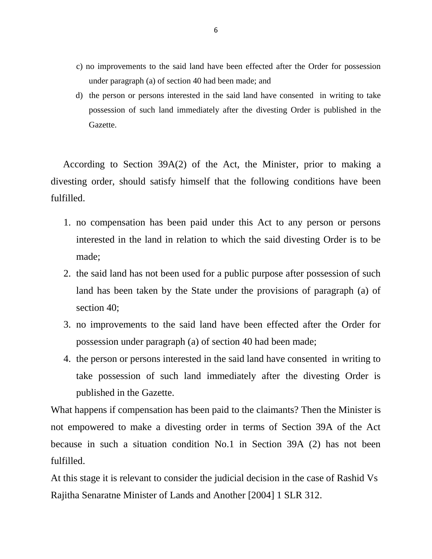- c) no improvements to the said land have been effected after the Order for possession under paragraph (a) of section 40 had been made; and
- d) the person or persons interested in the said land have consented in writing to take possession of such land immediately after the divesting Order is published in the Gazette.

 According to Section 39A(2) of the Act, the Minister, prior to making a divesting order, should satisfy himself that the following conditions have been fulfilled.

- 1. no compensation has been paid under this Act to any person or persons interested in the land in relation to which the said divesting Order is to be made;
- 2. the said land has not been used for a public purpose after possession of such land has been taken by the State under the provisions of paragraph (a) of section 40:
- 3. no improvements to the said land have been effected after the Order for possession under paragraph (a) of section 40 had been made;
- 4. the person or persons interested in the said land have consented in writing to take possession of such land immediately after the divesting Order is published in the Gazette.

What happens if compensation has been paid to the claimants? Then the Minister is not empowered to make a divesting order in terms of Section 39A of the Act because in such a situation condition No.1 in Section 39A (2) has not been fulfilled.

At this stage it is relevant to consider the judicial decision in the case of Rashid Vs Rajitha Senaratne Minister of Lands and Another [2004] 1 SLR 312.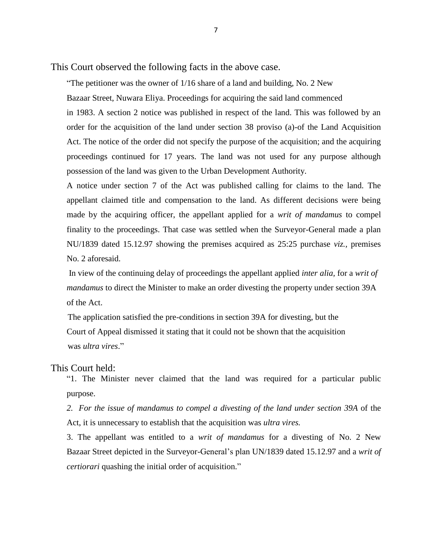This Court observed the following facts in the above case.

"The petitioner was the owner of  $1/16$  share of a land and building, No. 2 New

Bazaar Street, Nuwara Eliya. Proceedings for acquiring the said land commenced

in 1983. A section 2 notice was published in respect of the land. This was followed by an order for the acquisition of the land under section 38 proviso (a)-of the Land Acquisition Act. The notice of the order did not specify the purpose of the acquisition; and the acquiring proceedings continued for 17 years. The land was not used for any purpose although possession of the land was given to the Urban Development Authority.

A notice under section 7 of the Act was published calling for claims to the land. The appellant claimed title and compensation to the land. As different decisions were being made by the acquiring officer, the appellant applied for a *writ of mandamus* to compel finality to the proceedings. That case was settled when the Surveyor-General made a plan NU/1839 dated 15.12.97 showing the premises acquired as 25:25 purchase *viz.,* premises No. 2 aforesaid.

In view of the continuing delay of proceedings the appellant applied *inter alia,* for a *writ of mandamus* to direct the Minister to make an order divesting the property under section 39A of the Act.

 The application satisfied the pre-conditions in section 39A for divesting, but the Court of Appeal dismissed it stating that it could not be shown that the acquisition was *ultra vires*."

### This Court held:

"1. The Minister never claimed that the land was required for a particular public purpose.

*2. For the issue of mandamus to compel a divesting of the land under section 39A* of the Act, it is unnecessary to establish that the acquisition was *ultra vires.*

3. The appellant was entitled to a *writ of mandamus* for a divesting of No. 2 New Bazaar Street depicted in the Surveyor-General's plan UN/1839 dated 15.12.97 and a *writ of certiorari* quashing the initial order of acquisition."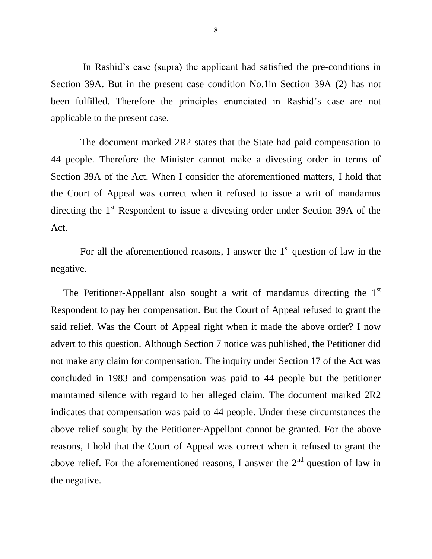In Rashid's case (supra) the applicant had satisfied the pre-conditions in Section 39A. But in the present case condition No.1in Section 39A (2) has not been fulfilled. Therefore the principles enunciated in Rashid's case are not applicable to the present case.

 The document marked 2R2 states that the State had paid compensation to 44 people. Therefore the Minister cannot make a divesting order in terms of Section 39A of the Act. When I consider the aforementioned matters, I hold that the Court of Appeal was correct when it refused to issue a writ of mandamus directing the 1<sup>st</sup> Respondent to issue a divesting order under Section 39A of the Act.

For all the aforementioned reasons, I answer the  $1<sup>st</sup>$  question of law in the negative.

The Petitioner-Appellant also sought a writ of mandamus directing the  $1<sup>st</sup>$ Respondent to pay her compensation. But the Court of Appeal refused to grant the said relief. Was the Court of Appeal right when it made the above order? I now advert to this question. Although Section 7 notice was published, the Petitioner did not make any claim for compensation. The inquiry under Section 17 of the Act was concluded in 1983 and compensation was paid to 44 people but the petitioner maintained silence with regard to her alleged claim. The document marked 2R2 indicates that compensation was paid to 44 people. Under these circumstances the above relief sought by the Petitioner-Appellant cannot be granted. For the above reasons, I hold that the Court of Appeal was correct when it refused to grant the above relief. For the aforementioned reasons, I answer the  $2<sup>nd</sup>$  question of law in the negative.